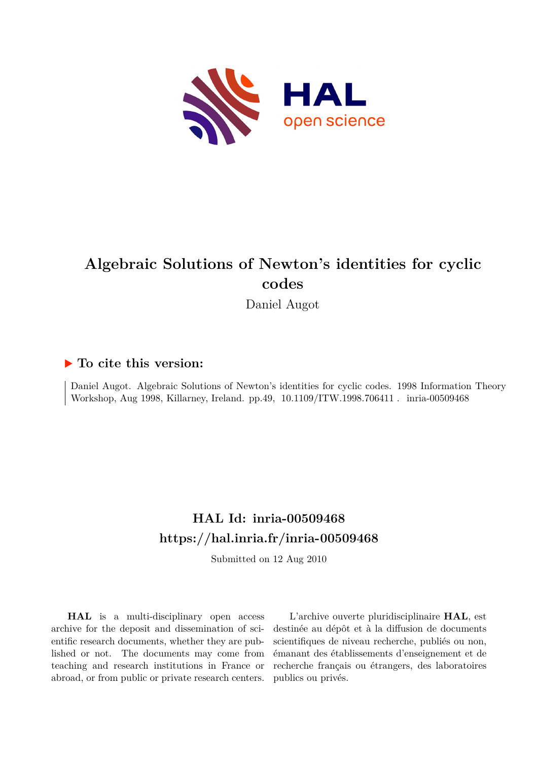

# **Algebraic Solutions of Newton's identities for cyclic codes**

Daniel Augot

### **To cite this version:**

Daniel Augot. Algebraic Solutions of Newton's identities for cyclic codes. 1998 Information Theory Workshop, Aug 1998, Killarney, Ireland. pp.49, 10.1109/ITW.1998.706411 . inria-00509468

### **HAL Id: inria-00509468 <https://hal.inria.fr/inria-00509468>**

Submitted on 12 Aug 2010

**HAL** is a multi-disciplinary open access archive for the deposit and dissemination of scientific research documents, whether they are published or not. The documents may come from teaching and research institutions in France or abroad, or from public or private research centers.

L'archive ouverte pluridisciplinaire **HAL**, est destinée au dépôt et à la diffusion de documents scientifiques de niveau recherche, publiés ou non, émanant des établissements d'enseignement et de recherche français ou étrangers, des laboratoires publics ou privés.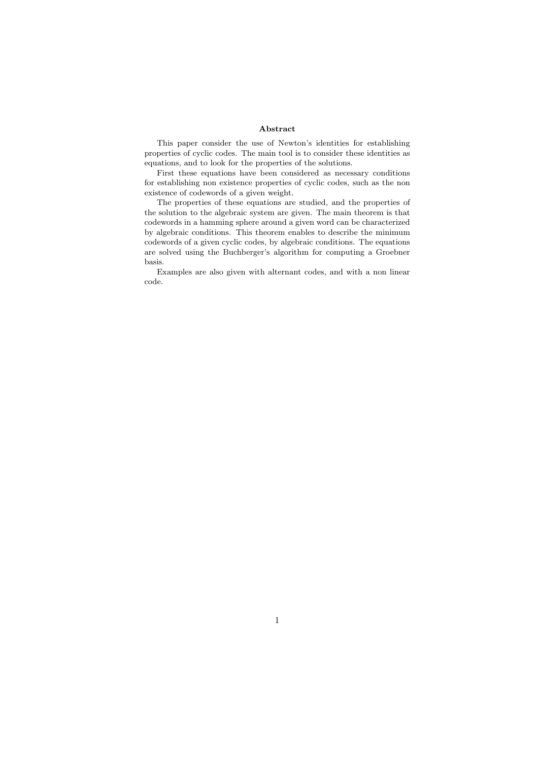#### Abstract

This paper consider the use of Newton's identities for establishing properties of cyclic codes. The main tool is to consider these identities as equations, and to look for the properties of the solutions.

First these equations have been considered as necessary conditions for establishing non existence properties of cyclic codes, such as the non existence of codewords of a given weight.

The properties of these equations are studied, and the properties of the solution to the algebraic system are given. The main theorem is that codewords in a hamming sphere around a given word can be characterized by algebraic conditions. This theorem enables to describe the minimum codewords of a given cyclic codes, by algebraic conditions. The equations are solved using the Buchberger's algorithm for computing a Groebner basis.

Examples are also given with alternant codes, and with a non linear code.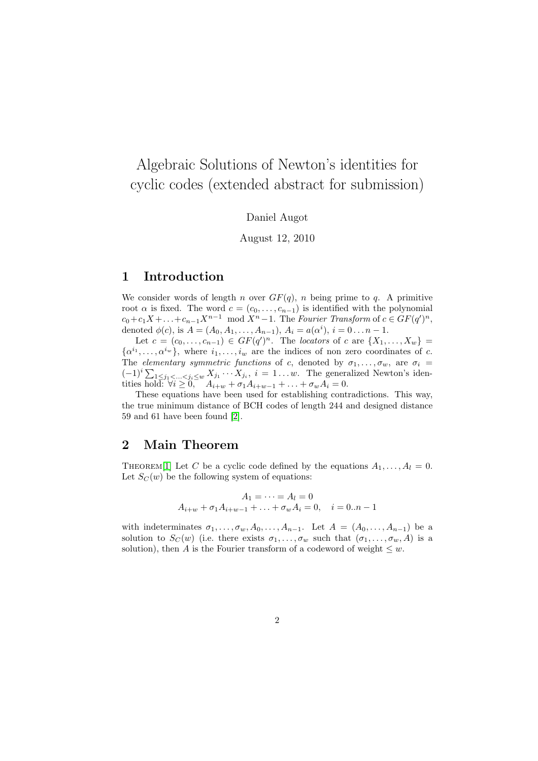## Algebraic Solutions of Newton's identities for cyclic codes (extended abstract for submission)

Daniel Augot

August 12, 2010

### 1 Introduction

We consider words of length n over  $GF(q)$ , n being prime to q. A primitive root  $\alpha$  is fixed. The word  $c = (c_0, \ldots, c_{n-1})$  is identified with the polynomial  $c_0+c_1X+\ldots+c_{n-1}X^{n-1} \mod X^n-1$ . The Fourier Transform of  $c \in GF(q')^n$ , denoted  $\phi(c)$ , is  $A = (A_0, A_1, \ldots, A_{n-1}), A_i = a(\alpha^i), i = 0 \ldots n-1.$ 

Let  $c = (c_0, ..., c_{n-1}) \in GF(q')^n$ . The locators of c are  $\{X_1, ..., X_w\}$  $\{\alpha^{i_1}, \ldots, \alpha^{i_w}\}\$ , where  $i_1, \ldots, i_w$  are the indices of non zero coordinates of c. The elementary symmetric functions of c, denoted by  $\sigma_1, \ldots, \sigma_w$ , are  $\sigma_i =$  $(-1)^i \sum_{1 \leq j_1 < \ldots < j_i \leq w} X_{j_1} \cdots X_{j_i}, i = 1 \ldots w$ . The generalized Newton's identities hold:  $\forall i \geq 0$ ,  $A_{i+w} + \sigma_1 A_{i+w-1} + \ldots + \sigma_w A_i = 0$ .

These equations have been used for establishing contradictions. This way, the true minimum distance of BCH codes of length 244 and designed distance 59 and 61 have been found [\[2\]](#page-4-0).

### 2 Main Theorem

THEOREM<sup>[\[1\]](#page-3-0)</sup> Let C be a cyclic code defined by the equations  $A_1, \ldots, A_l = 0$ . Let  $S_C(w)$  be the following system of equations:

$$
A_1 = \dots = A_l = 0
$$
  

$$
A_{i+w} + \sigma_1 A_{i+w-1} + \dots + \sigma_w A_i = 0, \quad i = 0...n - 1
$$

with indeterminates  $\sigma_1, \ldots, \sigma_w, A_0, \ldots, A_{n-1}$ . Let  $A = (A_0, \ldots, A_{n-1})$  be a solution to  $S_C(w)$  (i.e. there exists  $\sigma_1, \ldots, \sigma_w$  such that  $(\sigma_1, \ldots, \sigma_w, A)$  is a solution), then A is the Fourier transform of a codeword of weight  $\leq w$ .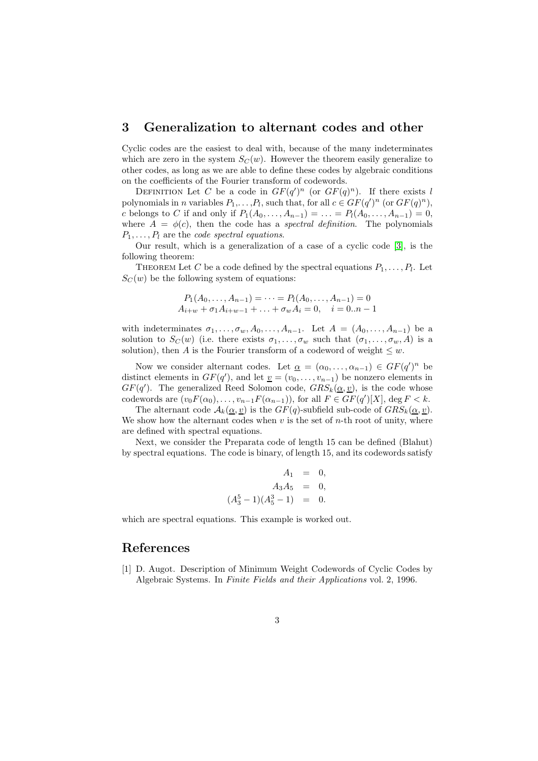#### 3 Generalization to alternant codes and other

Cyclic codes are the easiest to deal with, because of the many indeterminates which are zero in the system  $S_{\mathcal{C}}(w)$ . However the theorem easily generalize to other codes, as long as we are able to define these codes by algebraic conditions on the coefficients of the Fourier transform of codewords.

DEFINITION Let C be a code in  $GF(q')^n$  (or  $GF(q)^n$ ). If there exists l polynomials in *n* variables  $P_1, \ldots, P_l$ , such that, for all  $c \in GF(q')^n$  (or  $GF(q)^n$ ), c belongs to C if and only if  $P_1(A_0, ..., A_{n-1}) = ... = P_l(A_0, ..., A_{n-1}) = 0$ , where  $A = \phi(c)$ , then the code has a spectral definition. The polynomials  $P_1, \ldots, P_l$  are the *code spectral equations*.

Our result, which is a generalization of a case of a cyclic code [\[3\]](#page-4-1), is the following theorem:

THEOREM Let C be a code defined by the spectral equations  $P_1, \ldots, P_l$ . Let  $S<sub>C</sub>(w)$  be the following system of equations:

$$
P_1(A_0, \ldots, A_{n-1}) = \cdots = P_l(A_0, \ldots, A_{n-1}) = 0
$$
  

$$
A_{i+w} + \sigma_1 A_{i+w-1} + \ldots + \sigma_w A_i = 0, \quad i = 0...n - 1
$$

with indeterminates  $\sigma_1, \ldots, \sigma_w, A_0, \ldots, A_{n-1}$ . Let  $A = (A_0, \ldots, A_{n-1})$  be a solution to  $S_C(w)$  (i.e. there exists  $\sigma_1, \ldots, \sigma_w$  such that  $(\sigma_1, \ldots, \sigma_w, A)$  is a solution), then A is the Fourier transform of a codeword of weight  $\leq w$ .

Now we consider alternant codes. Let  $\underline{\alpha} = (\alpha_0, \dots, \alpha_{n-1}) \in GF(q')^n$  be distinct elements in  $GF(q')$ , and let  $\underline{v} = (v_0, \ldots, v_{n-1})$  be nonzero elements in  $GF(q')$ . The generalized Reed Solomon code,  $GRS_k(\underline{\alpha}, \underline{v})$ , is the code whose codewords are  $(v_0 F(\alpha_0), \ldots, v_{n-1} F(\alpha_{n-1}))$ , for all  $F \in GF(q')[X]$ , deg  $F < k$ .

The alternant code  $\mathcal{A}_k(\underline{\alpha}, \underline{v})$  is the  $GF(q)$ -subfield sub-code of  $GRS_k(\underline{\alpha}, \underline{v})$ . We show how the alternant codes when  $v$  is the set of *n*-th root of unity, where are defined with spectral equations.

Next, we consider the Preparata code of length 15 can be defined (Blahut) by spectral equations. The code is binary, of length 15, and its codewords satisfy

$$
A_1 = 0,
$$
  
\n
$$
A_3 A_5 = 0,
$$
  
\n
$$
(A_3^5 - 1)(A_5^3 - 1) = 0.
$$

which are spectral equations. This example is worked out.

#### <span id="page-3-0"></span>References

[1] D. Augot. Description of Minimum Weight Codewords of Cyclic Codes by Algebraic Systems. In Finite Fields and their Applications vol. 2, 1996.